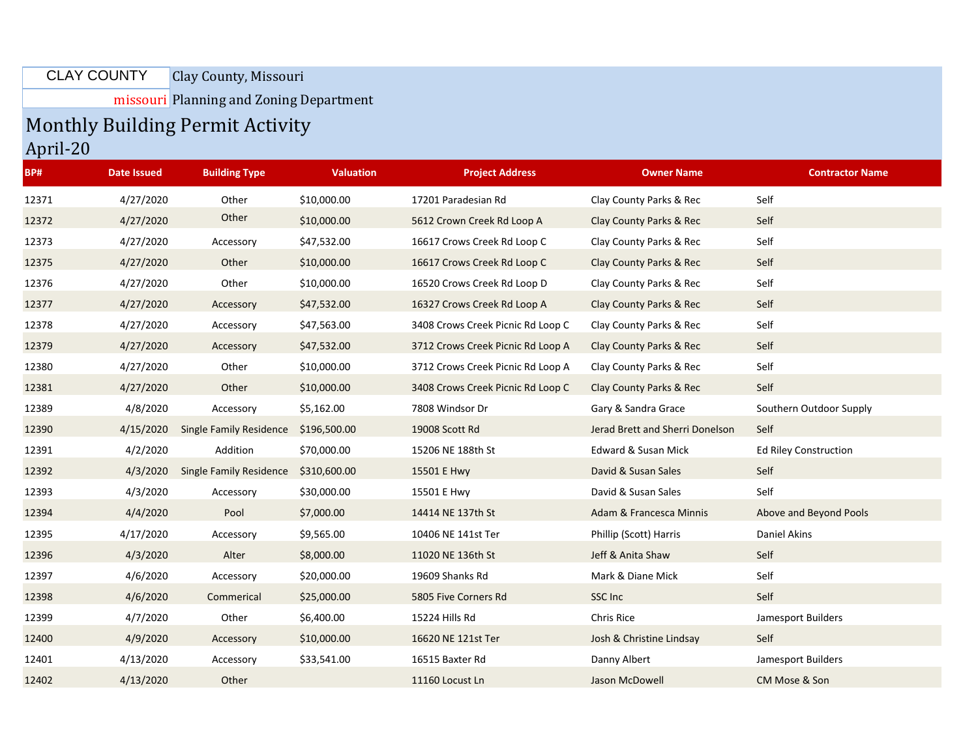Clay County, Missouri CLAY COUNTY

missouri Planning and Zoning Department

## Monthly Building Permit Activity

April-20

| BP#   | <b>Date Issued</b> | <b>Building Type</b>           | <b>Valuation</b> | <b>Project Address</b>            | <b>Owner Name</b>               | <b>Contractor Name</b>  |
|-------|--------------------|--------------------------------|------------------|-----------------------------------|---------------------------------|-------------------------|
| 12371 | 4/27/2020          | Other                          | \$10,000.00      | 17201 Paradesian Rd               | Clay County Parks & Rec         | Self                    |
| 12372 | 4/27/2020          | Other                          | \$10,000.00      | 5612 Crown Creek Rd Loop A        | Clay County Parks & Rec         | Self                    |
| 12373 | 4/27/2020          | Accessory                      | \$47,532.00      | 16617 Crows Creek Rd Loop C       | Clay County Parks & Rec         | Self                    |
| 12375 | 4/27/2020          | Other                          | \$10,000.00      | 16617 Crows Creek Rd Loop C       | Clay County Parks & Rec         | Self                    |
| 12376 | 4/27/2020          | Other                          | \$10,000.00      | 16520 Crows Creek Rd Loop D       | Clay County Parks & Rec         | Self                    |
| 12377 | 4/27/2020          | Accessory                      | \$47,532.00      | 16327 Crows Creek Rd Loop A       | Clay County Parks & Rec         | Self                    |
| 12378 | 4/27/2020          | Accessory                      | \$47,563.00      | 3408 Crows Creek Picnic Rd Loop C | Clay County Parks & Rec         | Self                    |
| 12379 | 4/27/2020          | Accessory                      | \$47,532.00      | 3712 Crows Creek Picnic Rd Loop A | Clay County Parks & Rec         | Self                    |
| 12380 | 4/27/2020          | Other                          | \$10,000.00      | 3712 Crows Creek Picnic Rd Loop A | Clay County Parks & Rec         | Self                    |
| 12381 | 4/27/2020          | Other                          | \$10,000.00      | 3408 Crows Creek Picnic Rd Loop C | Clay County Parks & Rec         | Self                    |
| 12389 | 4/8/2020           | Accessory                      | \$5,162.00       | 7808 Windsor Dr                   | Gary & Sandra Grace             | Southern Outdoor Supply |
| 12390 | 4/15/2020          | <b>Single Family Residence</b> | \$196,500.00     | 19008 Scott Rd                    | Jerad Brett and Sherri Donelson | Self                    |
| 12391 | 4/2/2020           | Addition                       | \$70,000.00      | 15206 NE 188th St                 | Edward & Susan Mick             | Ed Riley Construction   |
| 12392 | 4/3/2020           | <b>Single Family Residence</b> | \$310,600.00     | 15501 E Hwy                       | David & Susan Sales             | Self                    |
| 12393 | 4/3/2020           | Accessory                      | \$30,000.00      | 15501 E Hwy                       | David & Susan Sales             | Self                    |
| 12394 | 4/4/2020           | Pool                           | \$7,000.00       | 14414 NE 137th St                 | Adam & Francesca Minnis         | Above and Beyond Pools  |
| 12395 | 4/17/2020          | Accessory                      | \$9,565.00       | 10406 NE 141st Ter                | Phillip (Scott) Harris          | Daniel Akins            |
| 12396 | 4/3/2020           | Alter                          | \$8,000.00       | 11020 NE 136th St                 | Jeff & Anita Shaw               | Self                    |
| 12397 | 4/6/2020           | Accessory                      | \$20,000.00      | 19609 Shanks Rd                   | Mark & Diane Mick               | Self                    |
| 12398 | 4/6/2020           | Commerical                     | \$25,000.00      | 5805 Five Corners Rd              | SSC Inc                         | Self                    |
| 12399 | 4/7/2020           | Other                          | \$6,400.00       | 15224 Hills Rd                    | Chris Rice                      | Jamesport Builders      |
| 12400 | 4/9/2020           | Accessory                      | \$10,000.00      | 16620 NE 121st Ter                | Josh & Christine Lindsay        | Self                    |
| 12401 | 4/13/2020          | Accessory                      | \$33,541.00      | 16515 Baxter Rd                   | Danny Albert                    | Jamesport Builders      |
| 12402 | 4/13/2020          | Other                          |                  | 11160 Locust Ln                   | Jason McDowell                  | CM Mose & Son           |